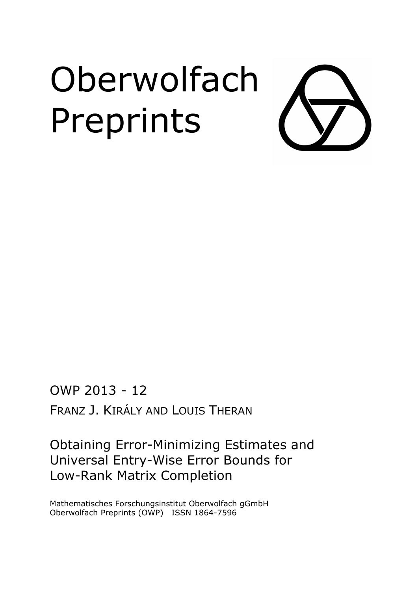# **Oberwolfach** Preprints

OWP 2013 - 12 FRANZ J. KIRÁLY AND LOUIS THERAN

Obtaining Error-Minimizing Estimates and Universal Entry-Wise Error Bounds for Low-Rank Matrix Completion

Mathematisches Forschungsinstitut Oberwolfach gGmbH Oberwolfach Preprints (OWP) ISSN 1864-7596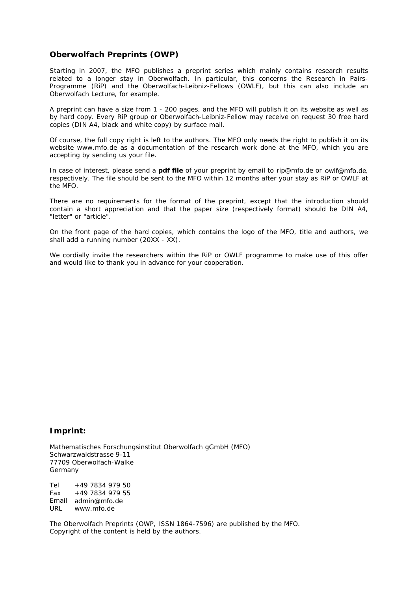### **Oberwolfach Preprints (OWP)**

Starting in 2007, the MFO publishes a preprint series which mainly contains research results related to a longer stay in Oberwolfach. In particular, this concerns the Research in Pairs-Programme (RiP) and the Oberwolfach-Leibniz-Fellows (OWLF), but this can also include an Oberwolfach Lecture, for example.

A preprint can have a size from 1 - 200 pages, and the MFO will publish it on its website as well as by hard copy. Every RiP group or Oberwolfach-Leibniz-Fellow may receive on request 30 free hard copies (DIN A4, black and white copy) by surface mail.

Of course, the full copy right is left to the authors. The MFO only needs the right to publish it on its website *www.mfo.de* as a documentation of the research work done at the MFO, which you are accepting by sending us your file.

In case of interest, please send a **pdf file** of your preprint by email to *rip@mfo.de* or *owlf@mfo.de*, respectively. The file should be sent to the MFO within 12 months after your stay as RiP or OWLF at the MFO.

There are no requirements for the format of the preprint, except that the introduction should contain a short appreciation and that the paper size (respectively format) should be DIN A4, "letter" or "article".

On the front page of the hard copies, which contains the logo of the MFO, title and authors, we shall add a running number (20XX - XX).

We cordially invite the researchers within the RiP or OWLF programme to make use of this offer and would like to thank you in advance for your cooperation.

#### **Imprint:**

Mathematisches Forschungsinstitut Oberwolfach gGmbH (MFO) Schwarzwaldstrasse 9-11 77709 Oberwolfach-Walke Germany

Tel +49 7834 979 50 Fax +49 7834 979 55 Email admin@mfo.deURL www.mfo.de

The Oberwolfach Preprints (OWP, ISSN 1864-7596) are published by the MFO. Copyright of the content is held by the authors.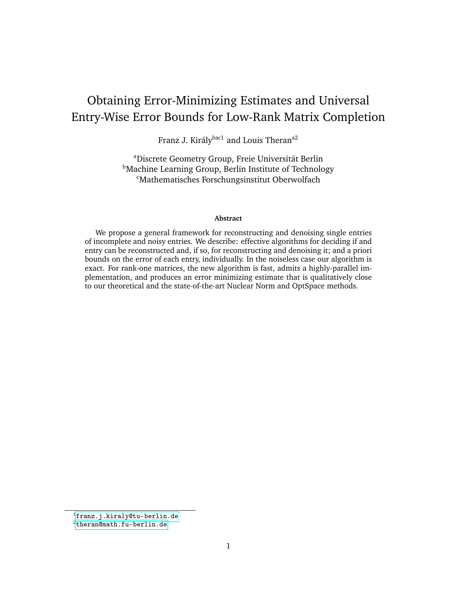# Obtaining Error-Minimizing Estimates and Universal Entry-Wise Error Bounds for Low-Rank Matrix Completion

Franz J. Király<sup>bac1</sup> and Louis Theran<sup>a2</sup>

<sup>a</sup>Discrete Geometry Group, Freie Universität Berlin **Machine Learning Group, Berlin Institute of Technology** <sup>c</sup>Mathematisches Forschungsinstitut Oberwolfach

#### **Abstract**

We propose a general framework for reconstructing and denoising single entries of incomplete and noisy entries. We describe: effective algorithms for deciding if and entry can be reconstructed and, if so, for reconstructing and denoising it; and a priori bounds on the error of each entry, individually. In the noiseless case our algorithm is exact. For rank-one matrices, the new algorithm is fast, admits a highly-parallel implementation, and produces an error minimizing estimate that is qualitatively close to our theoretical and the state-of-the-art Nuclear Norm and OptSpace methods.

<sup>1</sup><franz.j.kiraly@tu-berlin.de>

<sup>2</sup><theran@math.fu-berlin.de>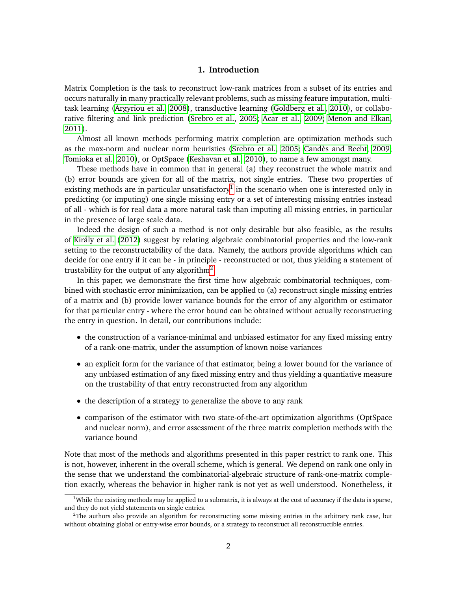#### **1. Introduction**

Matrix Completion is the task to reconstruct low-rank matrices from a subset of its entries and occurs naturally in many practically relevant problems, such as missing feature imputation, multitask learning [\(Argyriou et al., 2008\)](#page-12-0), transductive learning [\(Goldberg et al., 2010\)](#page-12-1), or collaborative filtering and link prediction [\(Srebro et al., 2005;](#page-12-2) [Acar et al., 2009;](#page-12-3) [Menon and Elkan,](#page-12-4) [2011\)](#page-12-4).

Almost all known methods performing matrix completion are optimization methods such as the max-norm and nuclear norm heuristics [\(Srebro et al., 2005;](#page-12-2) [Candès and Recht, 2009;](#page-12-5) [Tomioka et al., 2010\)](#page-12-6), or OptSpace [\(Keshavan et al., 2010\)](#page-12-7), to name a few amongst many.

These methods have in common that in general (a) they reconstruct the whole matrix and (b) error bounds are given for all of the matrix, not single entries. These two properties of existing methods are in particular unsatisfactory $^1$  $^1$  in the scenario when one is interested only in predicting (or imputing) one single missing entry or a set of interesting missing entries instead of all - which is for real data a more natural task than imputing all missing entries, in particular in the presence of large scale data.

Indeed the design of such a method is not only desirable but also feasible, as the results of [Király et al.](#page-12-8) [\(2012\)](#page-12-8) suggest by relating algebraic combinatorial properties and the low-rank setting to the reconstructability of the data. Namely, the authors provide algorithms which can decide for one entry if it can be - in principle - reconstructed or not, thus yielding a statement of trustability for the output of any algorithm<sup>[2](#page-3-1)</sup>.

In this paper, we demonstrate the first time how algebraic combinatorial techniques, combined with stochastic error minimization, can be applied to (a) reconstruct single missing entries of a matrix and (b) provide lower variance bounds for the error of any algorithm or estimator for that particular entry - where the error bound can be obtained without actually reconstructing the entry in question. In detail, our contributions include:

- the construction of a variance-minimal and unbiased estimator for any fixed missing entry of a rank-one-matrix, under the assumption of known noise variances
- an explicit form for the variance of that estimator, being a lower bound for the variance of any unbiased estimation of any fixed missing entry and thus yielding a quantiative measure on the trustability of that entry reconstructed from any algorithm
- the description of a strategy to generalize the above to any rank
- comparison of the estimator with two state-of-the-art optimization algorithms (OptSpace and nuclear norm), and error assessment of the three matrix completion methods with the variance bound

Note that most of the methods and algorithms presented in this paper restrict to rank one. This is not, however, inherent in the overall scheme, which is general. We depend on rank one only in the sense that we understand the combinatorial-algebraic structure of rank-one-matrix completion exactly, whereas the behavior in higher rank is not yet as well understood. Nonetheless, it

<span id="page-3-0"></span><sup>&</sup>lt;sup>1</sup>While the existing methods may be applied to a submatrix, it is always at the cost of accuracy if the data is sparse, and they do not yield statements on single entries.

<span id="page-3-1"></span><sup>2</sup>The authors also provide an algorithm for reconstructing some missing entries in the arbitrary rank case, but without obtaining global or entry-wise error bounds, or a strategy to reconstruct all reconstructible entries.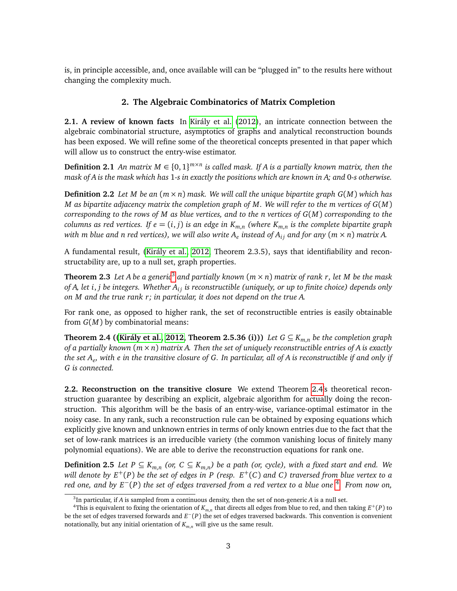<span id="page-4-3"></span>is, in principle accessible, and, once available will can be "plugged in" to the results here without changing the complexity much.

## **2. The Algebraic Combinatorics of Matrix Completion**

**2.1. A review of known facts** In [Király et al.](#page-12-8) [\(2012\)](#page-12-8), an intricate connection between the algebraic combinatorial structure, asymptotics of graphs and analytical reconstruction bounds has been exposed. We will refine some of the theoretical concepts presented in that paper which will allow us to construct the entry-wise estimator.

**Definition 2.1** An matrix  $M \in \{0, 1\}^{m \times n}$  is called mask. If A is a partially known matrix, then the *mask of A is the mask which has* 1*-s in exactly the positions which are known in A; and* 0*-s otherwise.*

**Definition 2.2** *Let M be an* (*m* × *n*) *mask. We will call the unique bipartite graph G*(*M*) *which has M as bipartite adjacency matrix the completion graph of M. We will refer to the m vertices of G*(*M*) *corresponding to the rows of M as blue vertices, and to the n vertices of G*(*M*) *corresponding to the*  $c$ olumns as red vertices. If  $e = (i,j)$  is an edge in  $K_{m,n}$  (where  $K_{m,n}$  is the complete bipartite graph *with m blue and n red vertices), we will also write A<sup>e</sup> instead of Ai j and for any* (*m* × *n*) *matrix A.*

A fundamental result, [\(Király et al., 2012,](#page-12-8) Theorem 2.3.5), says that identifiability and reconstructability are, up to a null set, graph properties.

**Theorem 2.3** *Let A be a generic*[3](#page-4-0) *and partially known* (*m* × *n*) *matrix of rank r, let M be the mask of A, let i*, *j be integers. Whether Ai j is reconstructible (uniquely, or up to finite choice) depends only on M and the true rank r; in particular, it does not depend on the true A.*

<span id="page-4-1"></span>For rank one, as opposed to higher rank, the set of reconstructible entries is easily obtainable from *G*(*M*) by combinatorial means:

**Theorem 2.4 ([\(Király et al., 2012,](#page-12-8) Theorem 2.5.36 (i)))** *Let G*  $\subseteq$  *K*<sub>*m,n</sub> be the completion graph*</sub> *of a partially known* (*m*×*n*) *matrix A. Then the set of uniquely reconstructible entries of A is exactly the set A<sup>e</sup> , with e in the transitive closure of G. In particular, all of A is reconstructible if and only if G is connected.*

**2.2. Reconstruction on the transitive closure** We extend Theorem [2.4'](#page-4-1)s theoretical reconstruction guarantee by describing an explicit, algebraic algorithm for actually doing the reconstruction. This algorithm will be the basis of an entry-wise, variance-optimal estimator in the noisy case. In any rank, such a reconstruction rule can be obtained by exposing equations which explicitly give known and unknown entries in terms of only known entries due to the fact that the set of low-rank matrices is an irreducible variety (the common vanishing locus of finitely many polynomial equations). We are able to derive the reconstruction equations for rank one.

**Definition 2.5** *Let P* ⊆  $K_{m,n}$  (or,  $C \subseteq K_{m,n}$ ) be a path (or, cycle), with a fixed start and end. We *will denote by E*+(*P*) *be the set of edges in P (resp. E*+(*C*) *and C) traversed from blue vertex to a red one, and by E*−(*P*) *the set of edges traversed from a red vertex to a blue one* [4](#page-4-2) *. From now on,*

<span id="page-4-2"></span><span id="page-4-0"></span><sup>3</sup> In particular, if *A* is sampled from a continuous density, then the set of non-generic *A* is a null set.

<sup>&</sup>lt;sup>4</sup>This is equivalent to fixing the orientation of  $K_{m,n}$  that directs all edges from blue to red, and then taking  $E^+(P)$  to be the set of edges traversed forwards and *E*<sup>−</sup>(*P*) the set of edges traversed backwards. This convention is convenient notationally, but any initial orientation of  $K_{m,n}$  will give us the same result.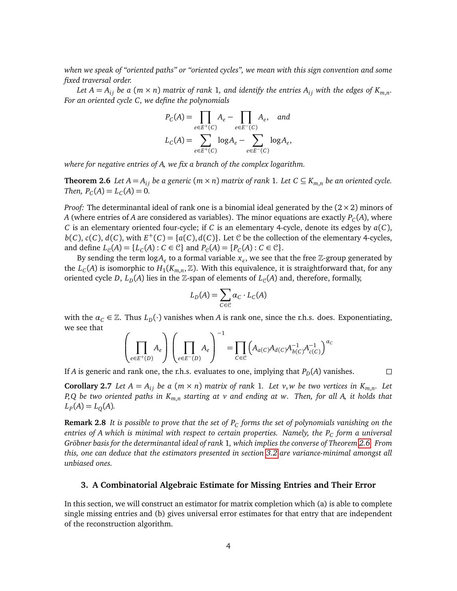*when we speak of "oriented paths" or "oriented cycles", we mean with this sign convention and some fixed traversal order.*

Let  $A = A_{ij}$  be a  $(m \times n)$  matrix of rank 1, and identify the entries  $A_{ij}$  with the edges of  $K_{m,n}$ . *For an oriented cycle C, we define the polynomials*

$$
P_C(A) = \prod_{e \in E^+(C)} A_e - \prod_{e \in E^-(C)} A_e, \text{ and}
$$
  

$$
L_C(A) = \sum_{e \in E^+(C)} \log A_e - \sum_{e \in E^-(C)} \log A_e,
$$

*where for negative entries of A, we fix a branch of the complex logarithm.*

<span id="page-5-0"></span>**Theorem 2.6** *Let*  $A = A_{ij}$  *be a generic* ( $m \times n$ ) *matrix of rank* 1*. Let*  $C \subseteq K_{m,n}$  *be an oriented cycle. Then,*  $P_C(A) = L_C(A) = 0$ .

*Proof:* The determinantal ideal of rank one is a binomial ideal generated by the  $(2 \times 2)$  minors of  $A$  (where entries of  $A$  are considered as variables). The minor equations are exactly  $P_C(A)$ , where *C* is an elementary oriented four-cycle; if *C* is an elementary 4-cycle, denote its edges by *a*(*C*),  $b(C)$ ,  $c(C)$ ,  $d(C)$ , with  $E^+(C) = \{a(C), d(C)\}\)$ . Let C be the collection of the elementary 4-cycles, and define  $L_{\mathcal{C}}(A) = \{L_C(A) : C \in \mathcal{C}\}\$  and  $P_{\mathcal{C}}(A) = \{P_C(A) : C \in \mathcal{C}\}\$ .

By sending the term  $log A_e$  to a formal variable  $x_e$ , we see that the free  $\mathbb Z$ -group generated by the  $L_C(A)$  is isomorphic to  $H_1(K_{m,n}, \mathbb{Z})$ . With this equivalence, it is straightforward that, for any oriented cycle *D*,  $L_D(A)$  lies in the Z-span of elements of  $L_C(A)$  and, therefore, formally,

$$
L_D(A) = \sum_{C \in \mathcal{C}} \alpha_C \cdot L_C(A)
$$

with the  $\alpha_C \in \mathbb{Z}$ . Thus  $L_D(\cdot)$  vanishes when *A* is rank one, since the r.h.s. does. Exponentiating, we see that

$$
\left(\prod_{e\in E^+(D)}A_e\right)\left(\prod_{e\in E^-(D)}A_e\right)^{-1}=\prod_{C\in\mathcal{C}}\left(A_{a(C)}A_{d(C)}A_{b(C)}^{-1}A_{c(C)}^{-1}\right)^{\alpha_C}
$$

If *A* is generic and rank one, the r.h.s. evaluates to one, implying that  $P_D(A)$  vanishes.

**Corollary 2.7** Let  $A = A_{ij}$  be a  $(m \times n)$  matrix of rank 1. Let v, w be two vertices in  $K_{m,n}$ . Let *P*,*Q be two oriented paths in Km*,*<sup>n</sup> starting at v and ending at w. Then, for all A, it holds that*  $L_P(A) = L_Q(A)$ .

**Remark 2.8** *It is possible to prove that the set of P<sup>C</sup> forms the set of polynomials vanishing on the entries of A which is minimal with respect to certain properties. Namely, the P<sup>C</sup> form a universal Gröbner basis for the determinantal ideal of rank* 1*, which implies the converse of Theorem [2.6.](#page-5-0) From this, one can deduce that the estimators presented in section [3.2](#page-6-0) are variance-minimal amongst all unbiased ones.*

#### **3. A Combinatorial Algebraic Estimate for Missing Entries and Their Error**

In this section, we will construct an estimator for matrix completion which (a) is able to complete single missing entries and (b) gives universal error estimates for that entry that are independent of the reconstruction algorithm.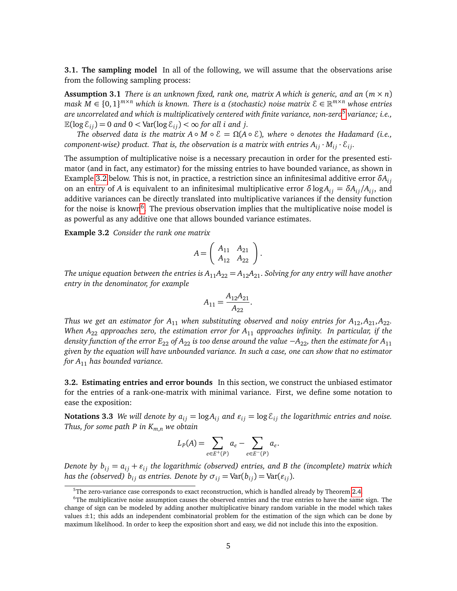**3.1. The sampling model** In all of the following, we will assume that the observations arise from the following sampling process:

**Assumption 3.1** *There is an unknown fixed, rank one, matrix A which is generic, and an*  $(m \times n)$ *mask M* ∈ {0, 1} *<sup>m</sup>*×*<sup>n</sup> which is known. There is a (stochastic) noise matrix* E ∈ R *<sup>m</sup>*×*<sup>n</sup> whose entries are uncorrelated and which is multiplicatively centered with finite variance, non-zero*[5](#page-6-1) *variance; i.e.,*  $\mathbb{E}(\log \varepsilon_{ij}) = 0$  and  $0 < \text{Var}(\log \varepsilon_{ij}) < \infty$  for all *i* and *j*.

*The observed data is the matrix*  $A \circ M \circ E = \Omega(A \circ E)$ *, where*  $\circ$  *denotes the Hadamard (i.e., component-wise) product. That is, the observation is a matrix with entries*  $A_{ij} \cdot M_{ij} \cdot \mathcal{E}_{ij}$ *.* 

The assumption of multiplicative noise is a necessary precaution in order for the presented estimator (and in fact, any estimator) for the missing entries to have bounded variance, as shown in Example [3.2](#page-6-2) below. This is not, in practice, a restriction since an infinitesimal additive error  $\delta A_{ij}$ on an entry of *A* is equivalent to an infinitesimal multiplicative error  $\delta$  log $A_{ij} = \delta A_{ij}/A_{ij}$ , and additive variances can be directly translated into multiplicative variances if the density function for the noise is known<sup>[6](#page-6-3)</sup>. The previous observation implies that the multiplicative noise model is as powerful as any additive one that allows bounded variance estimates.

**Example 3.2** *Consider the rank one matrix*

<span id="page-6-2"></span>
$$
A = \left( \begin{array}{cc} A_{11} & A_{21} \\ A_{12} & A_{22} \end{array} \right).
$$

*The unique equation between the entries is*  $A_{11}A_{22} = A_{12}A_{21}$ *. Solving for any entry will have another entry in the denominator, for example*

$$
A_{11} = \frac{A_{12}A_{21}}{A_{22}}.
$$

*Thus we get an estimator for*  $A_{11}$  *when substituting observed and noisy entries for*  $A_{12}$ ,  $A_{21}$ ,  $A_{22}$ . *When A*<sup>22</sup> *approaches zero, the estimation error for A*<sup>11</sup> *approaches infinity. In particular, if the density function of the error E*<sub>22</sub> *of A*<sub>22</sub> *is too dense around the value* −*A*<sub>22</sub>*, then the estimate for A*<sub>11</sub> *given by the equation will have unbounded variance. In such a case, one can show that no estimator for A*<sup>11</sup> *has bounded variance.*

<span id="page-6-0"></span>**3.2. Estimating entries and error bounds** In this section, we construct the unbiased estimator for the entries of a rank-one-matrix with minimal variance. First, we define some notation to ease the exposition:

**Notations 3.3** *We will denote by*  $a_{ij} = \log A_{ij}$  *and*  $\varepsilon_{ij} = \log \varepsilon_{ij}$  *the logarithmic entries and noise. Thus, for some path P in Km*,*<sup>n</sup> we obtain*

$$
L_P(A) = \sum_{e \in E^+(P)} a_e - \sum_{e \in E^-(P)} a_e.
$$

*Denote by*  $b_{ij} = a_{ij} + \varepsilon_{ij}$  *the logarithmic (observed) entries, and B the (incomplete) matrix which has the (observed)*  $b_{ij}$  *as entries. Denote by*  $\sigma_{ij} = \text{Var}(b_{ij}) = \text{Var}(\varepsilon_{ij})$ .

<span id="page-6-3"></span><span id="page-6-1"></span><sup>&</sup>lt;sup>5</sup>The zero-variance case corresponds to exact reconstruction, which is handled already by Theorem [2.4.](#page-4-1)

<sup>&</sup>lt;sup>6</sup>The multiplicative noise assumption causes the observed entries and the true entries to have the same sign. The change of sign can be modeled by adding another multiplicative binary random variable in the model which takes values  $\pm 1$ ; this adds an independent combinatorial problem for the estimation of the sign which can be done by maximum likelihood. In order to keep the exposition short and easy, we did not include this into the exposition.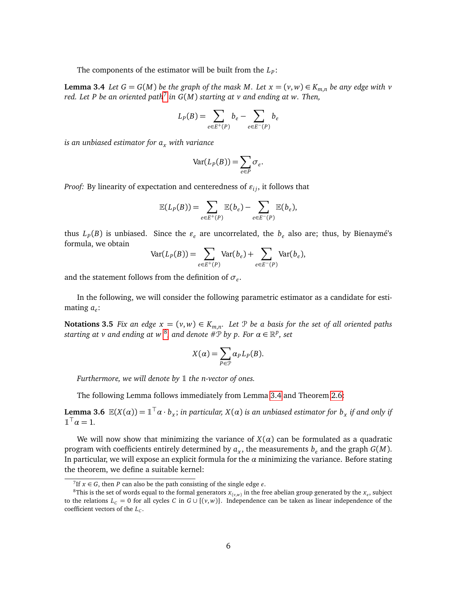The components of the estimator will be built from the *L<sup>P</sup>* :

**Lemma 3.4** *Let*  $G = G(M)$  *be the graph of the mask M. Let*  $x = (v, w) \in K_{m,n}$  *be any edge with*  $v$ *red. Let P be an oriented path*[7](#page-7-0) *in G*(*M*) *starting at v and ending at w. Then,*

<span id="page-7-2"></span>
$$
L_P(B) = \sum_{e \in E^+(P)} b_e - \sum_{e \in E^-(P)} b_e
$$

*is an unbiased estimator for a<sup>x</sup> with variance*

$$
Var(L_P(B)) = \sum_{e \in P} \sigma_e.
$$

*Proof:* By linearity of expectation and centeredness of  $\varepsilon_{ij}$ , it follows that

$$
\mathbb{E}(L_P(B)) = \sum_{e \in E^+(P)} \mathbb{E}(b_e) - \sum_{e \in E^-(P)} \mathbb{E}(b_e),
$$

thus  $L_p(B)$  is unbiased. Since the  $\varepsilon_e$  are uncorrelated, the  $b_e$  also are; thus, by Bienaymé's formula, we obtain

$$
Var(L_P(B)) = \sum_{e \in E^+(P)} Var(b_e) + \sum_{e \in E^-(P)} Var(b_e),
$$

and the statement follows from the definition of *σ<sup>e</sup>* .

<span id="page-7-3"></span>In the following, we will consider the following parametric estimator as a candidate for estimating *a<sup>e</sup>* :

**Notations 3.5** *Fix an edge*  $x = (v, w) \in K_{m,n}$ . Let  $\mathcal{P}$  be a basis for the set of all oriented paths  $s$ tarting at  $v$  and ending at  $w$   $^8$  $^8$ , and denote  $\#\mathfrak{P}$  by  $p.$  For  $\alpha \in \mathbb{R}^p$ , set

$$
X(\alpha) = \sum_{P \in \mathcal{P}} \alpha_P L_P(B).
$$

*Furthermore, we will denote by* 1 *the n-vector of ones.* 

The following Lemma follows immediately from Lemma [3.4](#page-7-2) and Theorem [2.6:](#page-5-0)

**Lemma 3.6**  $\mathbb{E}(X(\alpha)) = \mathbb{1}^{\top} \alpha \cdot b_x$ ; *in particular, X*( $\alpha$ ) *is an unbiased estimator for*  $b_x$  *if and only if*  $\mathbb{1}^{\top} \alpha = 1.$ 

We will now show that minimizing the variance of  $X(\alpha)$  can be formulated as a quadratic program with coefficients entirely determined by  $a_x$ , the measurements  $b_e$  and the graph  $G(M)$ . In particular, we will expose an explicit formula for the *α* minimizing the variance. Before stating the theorem, we define a suitable kernel:

<span id="page-7-1"></span><span id="page-7-0"></span><sup>&</sup>lt;sup>7</sup>If  $x \in G$ , then *P* can also be the path consisting of the single edge *e*.

 $^8$ This is the set of words equal to the formal generators  $x_{(v,w)}$  in the free abelian group generated by the  $x_e$ , subject to the relations  $L_c = 0$  for all cycles *C* in  $G \cup \{(v, w)\}\$ . Independence can be taken as linear independence of the coefficient vectors of the *L<sup>C</sup>* .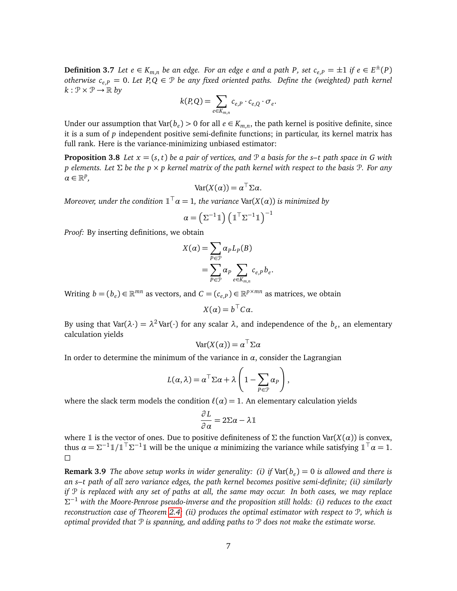**Definition 3.7** Let  $e \in K_{m,n}$  be an edge. For an edge  $e$  and a path P, set  $c_{e,P} = \pm 1$  if  $e \in E^{\pm}(P)$ *otherwise*  $c_{e,P} = 0$ . Let  $P,Q \in \mathcal{P}$  be any fixed oriented paths. Define the (weighted) path kernel  $k: \mathcal{P} \times \mathcal{P} \rightarrow \mathbb{R}$  by

$$
k(P,Q) = \sum_{e \in K_{m,n}} c_{e,P} \cdot c_{e,Q} \cdot \sigma_e
$$

.

Under our assumption that  $Var(b_e) > 0$  for all  $e \in K_{m,n}$ , the path kernel is positive definite, since it is a sum of *p* independent positive semi-definite functions; in particular, its kernel matrix has full rank. Here is the variance-minimizing unbiased estimator:

**Proposition 3.8** *Let*  $x = (s, t)$  *be a pair of vertices, and*  $\mathcal{P}$  *a basis for the s-t path space in G with p elements. Let* Σ *be the p* × *p kernel matrix of the path kernel with respect to the basis* P*. For any α* ∈ R *p ,*

$$
Var(X(\alpha)) = \alpha^{\top} \Sigma \alpha.
$$

 $M$ oreover, under the condition  $\mathbb{1}^{\top}\alpha=1$ , the variance  $\text{Var}(X(\alpha))$  is minimized by

$$
\alpha = \left(\Sigma^{-1} \mathbb{1}\right) \left(\mathbb{1}^\top \Sigma^{-1} \mathbb{1}\right)^{-1}
$$

*Proof:* By inserting definitions, we obtain

$$
X(\alpha) = \sum_{P \in \mathcal{P}} \alpha_P L_P(B)
$$
  
= 
$$
\sum_{P \in \mathcal{P}} \alpha_P \sum_{e \in K_{m,n}} c_{e,P} b_e.
$$

Writing  $b = (b_e) \in \mathbb{R}^{mn}$  as vectors, and  $C = (c_{e,P}) \in \mathbb{R}^{p \times mn}$  as matrices, we obtain

$$
X(\alpha) = b^{\top} C \alpha.
$$

By using that  $Var(\lambda \cdot) = \lambda^2 Var(\cdot)$  for any scalar  $\lambda$ , and independence of the  $b_e$ , an elementary calculation yields

$$
Var(X(\alpha)) = \alpha^{\top} \Sigma \alpha
$$

In order to determine the minimum of the variance in  $\alpha$ , consider the Lagrangian

$$
L(\alpha, \lambda) = \alpha^{\top} \Sigma \alpha + \lambda \left( 1 - \sum_{P \in \mathcal{P}} \alpha_P \right),
$$

where the slack term models the condition  $\ell(\alpha) = 1$ . An elementary calculation yields

$$
\frac{\partial L}{\partial \alpha} = 2\Sigma \alpha - \lambda \mathbb{1}
$$

where 1 is the vector of ones. Due to positive definiteness of  $\Sigma$  the function Var( $X(\alpha)$ ) is convex, thus  $\alpha = \Sigma^{-1} \mathbb{1}/\mathbb{1}^T \Sigma^{-1} \mathbb{1}$  will be the unique  $\alpha$  minimizing the variance while satisfying  $\mathbb{1}^T \alpha = 1$ .  $\Box$ 

**Remark 3.9** *The above setup works in wider generality: (i) if* Var(*b<sup>e</sup>* ) = 0 *is allowed and there is an s–t path of all zero variance edges, the path kernel becomes positive semi-definite; (ii) similarly if* P *is replaced with any set of paths at all, the same may occur. In both cases, we may replace* Σ <sup>−</sup><sup>1</sup> *with the Moore-Penrose pseudo-inverse and the proposition still holds: (i) reduces to the exact reconstruction case of Theorem [2.4;](#page-4-1) (ii) produces the optimal estimator with respect to* P*, which is optimal provided that* P *is spanning, and adding paths to* P *does not make the estimate worse.*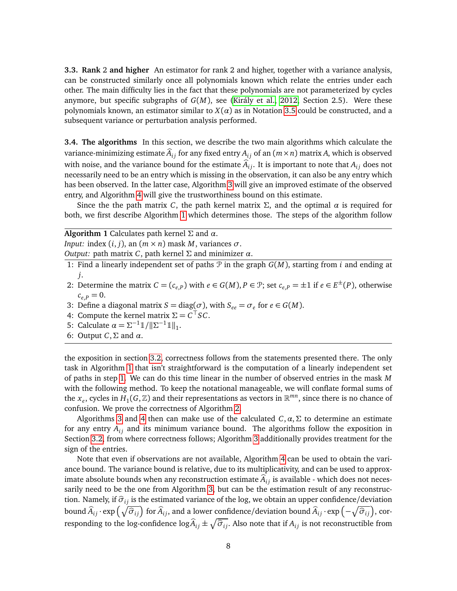**3.3. Rank** 2 **and higher** An estimator for rank 2 and higher, together with a variance analysis, can be constructed similarly once all polynomials known which relate the entries under each other. The main difficulty lies in the fact that these polynomials are not parameterized by cycles anymore, but specific subgraphs of *G*(*M*), see [\(Király et al., 2012,](#page-12-8) Section 2.5). Were these polynomials known, an estimator similar to  $X(\alpha)$  as in Notation [3.5](#page-7-3) could be constructed, and a subsequent variance or perturbation analysis performed.

**3.4. The algorithms** In this section, we describe the two main algorithms which calculate the variance-minimizing estimate  $\hat{A}_{ij}$  for any fixed entry  $A_{ij}$  of an  $(m \times n)$  matrix A, which is observed with noise, and the variance bound for the estimate  $\hat{A}_{ij}$ . It is important to note that  $A_{ij}$  does not necessarily need to be an entry which is missing in the observation, it can also be any entry which has been observed. In the latter case, Algorithm [3](#page-10-0) will give an improved estimate of the observed entry, and Algorithm [4](#page-11-0) will give the trustworthiness bound on this estimate.

Since the the path matrix *C*, the path kernel matrix  $\Sigma$ , and the optimal  $\alpha$  is required for both, we first describe Algorithm [1](#page-9-0) which determines those. The steps of the algorithm follow

**Algorithm 1** Calculates path kernel  $\Sigma$  and  $\alpha$ .

*Input:* index  $(i, j)$ , an  $(m \times n)$  mask *M*, variances  $\sigma$ .

*Output:* path matrix *C*, path kernel Σ and minimizer *α*.

- <span id="page-9-0"></span>1: Find a linearly independent set of paths P in the graph *G*(*M*), starting from *i* and ending at *j*.
- 2: Determine the matrix  $C = (c_{e,P})$  with  $e \in G(M)$ ,  $P \in \mathcal{P}$ ; set  $c_{e,P} = \pm 1$  if  $e \in E^{\pm}(P)$ , otherwise  $c_{e,P} = 0.$
- 3: Define a diagonal matrix *S* = diag( $\sigma$ ), with  $S_{ee} = \sigma_e$  for  $e \in G(M)$ .
- 4: Compute the kernel matrix  $\Sigma = C^{\top} S C$ .
- 5: Calculate  $\alpha = \sum_{n=1}^{\infty} \mathbb{1} / \|\Sigma^{-1} \mathbb{1}\|_1$ .
- 6: Output *C*,Σ and *α*.

the exposition in section [3.2,](#page-6-0) correctness follows from the statements presented there. The only task in Algorithm [1](#page-9-0) that isn't straightforward is the computation of a linearly independent set of paths in step [1.](#page-9-0) We can do this time linear in the number of observed entries in the mask *M* with the following method. To keep the notational manageable, we will conflate formal sums of the  $x_e$ , cycles in  $H_1(G, \mathbb{Z})$  and their representations as vectors in  $\mathbb{R}^{mn}$ , since there is no chance of confusion. We prove the correctness of Algorithm [2.](#page-10-1)

Algorithms [3](#page-10-0) and [4](#page-11-0) then can make use of the calculated  $C$ ,  $\alpha$ ,  $\Sigma$  to determine an estimate for any entry  $A_{ij}$  and its minimum variance bound. The algorithms follow the exposition in Section [3.2,](#page-6-0) from where correctness follows; Algorithm [3](#page-10-0) additionally provides treatment for the sign of the entries.

Note that even if observations are not available, Algorithm [4](#page-11-0) can be used to obtain the variance bound. The variance bound is relative, due to its multiplicativity, and can be used to approximate absolute bounds when any reconstruction estimate  $\hat{A}_{ij}$  is available - which does not necessarily need to be the one from Algorithm [3,](#page-10-0) but can be the estimation result of any reconstruction. Namely, if  $\hat{\sigma}_{ij}$  is the estimated variance of the log, we obtain an upper confidence/deviation  $\phi$ bound  $\widehat{A}_{ij} \cdot \exp\left(\sqrt{\widehat{\sigma}_{ij}}\right)$  for  $\widehat{A}_{ij}$ , and a lower confidence/deviation bound  $\widehat{A}_{ij} \cdot \exp\left(-\sqrt{\widehat{\sigma}_{ij}}\right)$ , corresponding to the log-confidence  $\log \widehat{A}_{ij} \pm \sqrt{\widehat{\sigma}_{ij}}$ . Also note that if  $A_{ij}$  is not reconstructible from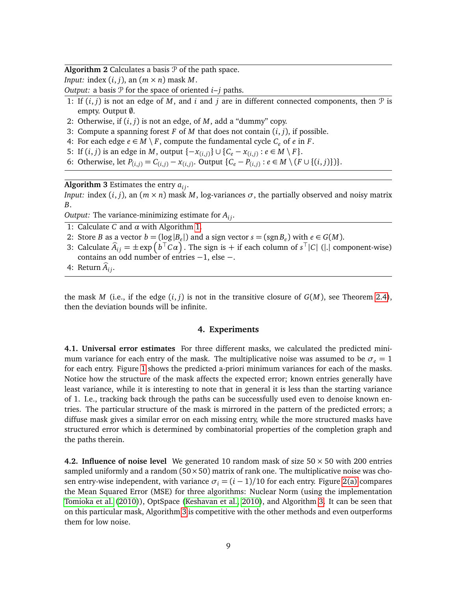**Algorithm 2** Calculates a basis  $P$  of the path space.

*Input:* index  $(i, j)$ , an  $(m \times n)$  mask *M*.

*Output:* a basis  $P$  for the space of oriented  $i-j$  paths.

- <span id="page-10-1"></span>1: If  $(i, j)$  is not an edge of *M*, and *i* and *j* are in different connected components, then  $\mathcal{P}$  is empty. Output Ø.
- 2: Otherwise, if (*i*, *j*) is not an edge, of *M*, add a "dummy" copy.
- 3: Compute a spanning forest  $F$  of  $M$  that does not contain  $(i, j)$ , if possible.
- 4: For each edge *e* ∈ *M* \ *F*, compute the fundamental cycle  $C_e$  of *e* in *F*.
- 5: If  $(i, j)$  is an edge in *M*, output {−*x*<sub>(*i,j*)</sub>} ∪ {*C*<sub>*e*</sub> − *x*<sub>(*i,j*)</sub> : *e* ∈ *M* \ *F* }.
- 6: Otherwise, let  $P_{(i,j)} = C_{(i,j)} x_{(i,j)}$ . Output { $C_e P_{(i,j)}$  : *e* ∈ *M* \ (*F* ∪ {(*i*, *j*)})}.

Algorithm 3 Estimates the entry  $a_{ij}$ .

*Input:* index  $(i, j)$ , an  $(m \times n)$  mask *M*, log-variances  $\sigma$ , the partially observed and noisy matrix *B*.

*Output:* The variance-minimizing estimate for  $A_i$ .

<span id="page-10-0"></span>1: Calculate *C* and *α* with Algorithm [1.](#page-9-0)

- 2: Store *B* as a vector  $b = (\log |B_e|)$  and a sign vector  $s = (sgn B_e)$  with  $e \in G(M)$ .
- 3: Calculate  $\widehat{A}_{ij} = \pm \exp(b^\top C\alpha)$ . The sign is + if each column of  $s^\top |C|$  (|.| component-wise) contains an odd number of entries −1, else −.

4: Return  $\ddot{A_i}$ 

<span id="page-10-3"></span>the mask *M* (i.e., if the edge  $(i, j)$  is not in the transitive closure of  $G(M)$ , see Theorem [2.4\)](#page-4-1), then the deviation bounds will be infinite.

#### **4. Experiments**

**4.1. Universal error estimates** For three different masks, we calculated the predicted minimum variance for each entry of the mask. The multiplicative noise was assumed to be  $\sigma_e = 1$ for each entry. Figure [1](#page-14-0) shows the predicted a-priori minimum variances for each of the masks. Notice how the structure of the mask affects the expected error; known entries generally have least variance, while it is interesting to note that in general it is less than the starting variance of 1. I.e., tracking back through the paths can be successfully used even to denoise known entries. The particular structure of the mask is mirrored in the pattern of the predicted errors; a diffuse mask gives a similar error on each missing entry, while the more structured masks have structured error which is determined by combinatorial properties of the completion graph and the paths therein.

<span id="page-10-2"></span>**4.2. Influence of noise level** We generated 10 random mask of size  $50 \times 50$  with 200 entries sampled uniformly and a random  $(50 \times 50)$  matrix of rank one. The multiplicative noise was chosen entry-wise independent, with variance  $\sigma_i = (i - 1)/10$  for each entry. Figure [2\(a\)](#page-15-0) compares the Mean Squared Error (MSE) for three algorithms: Nuclear Norm (using the implementation [Tomioka et al.](#page-12-6) [\(2010\)](#page-12-6)), OptSpace [\(Keshavan et al., 2010\)](#page-12-7), and Algorithm [3.](#page-10-0) It can be seen that on this particular mask, Algorithm [3](#page-10-0) is competitive with the other methods and even outperforms them for low noise.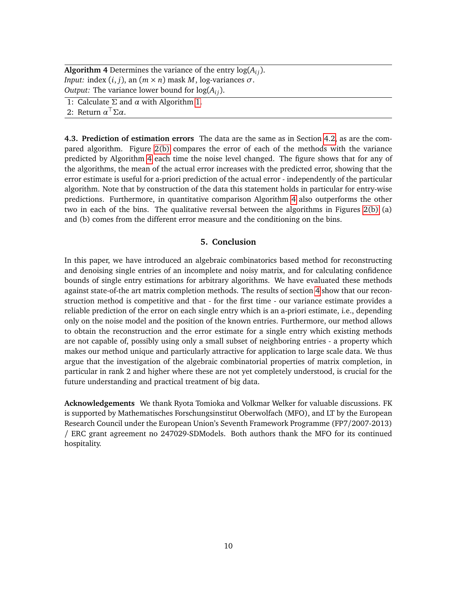**Algorithm 4** Determines the variance of the entry  $log(A_i)$ . *Input:* index  $(i, j)$ , an  $(m \times n)$  mask *M*, log-variances  $\sigma$ . *Output:* The variance lower bound for  $log(A_i)$ .

<span id="page-11-0"></span>1: Calculate  $\Sigma$  and  $\alpha$  with Algorithm [1.](#page-9-0)

2: Return  $\alpha^{\top} \Sigma \alpha$ .

**4.3. Prediction of estimation errors** The data are the same as in Section [4.2,](#page-10-2) as are the compared algorithm. Figure [2\(b\)](#page-15-1) compares the error of each of the methods with the variance predicted by Algorithm [4](#page-11-0) each time the noise level changed. The figure shows that for any of the algorithms, the mean of the actual error increases with the predicted error, showing that the error estimate is useful for a-priori prediction of the actual error - independently of the particular algorithm. Note that by construction of the data this statement holds in particular for entry-wise predictions. Furthermore, in quantitative comparison Algorithm [4](#page-11-0) also outperforms the other two in each of the bins. The qualitative reversal between the algorithms in Figures [2\(b\)](#page-15-1) (a) and (b) comes from the different error measure and the conditioning on the bins.

#### **5. Conclusion**

In this paper, we have introduced an algebraic combinatorics based method for reconstructing and denoising single entries of an incomplete and noisy matrix, and for calculating confidence bounds of single entry estimations for arbitrary algorithms. We have evaluated these methods against state-of-the art matrix completion methods. The results of section [4](#page-10-3) show that our reconstruction method is competitive and that - for the first time - our variance estimate provides a reliable prediction of the error on each single entry which is an a-priori estimate, i.e., depending only on the noise model and the position of the known entries. Furthermore, our method allows to obtain the reconstruction and the error estimate for a single entry which existing methods are not capable of, possibly using only a small subset of neighboring entries - a property which makes our method unique and particularly attractive for application to large scale data. We thus argue that the investigation of the algebraic combinatorial properties of matrix completion, in particular in rank 2 and higher where these are not yet completely understood, is crucial for the future understanding and practical treatment of big data.

**Acknowledgements** We thank Ryota Tomioka and Volkmar Welker for valuable discussions. FK is supported by Mathematisches Forschungsinstitut Oberwolfach (MFO), and LT by the European Research Council under the European Union's Seventh Framework Programme (FP7/2007-2013) / ERC grant agreement no 247029-SDModels. Both authors thank the MFO for its continued hospitality.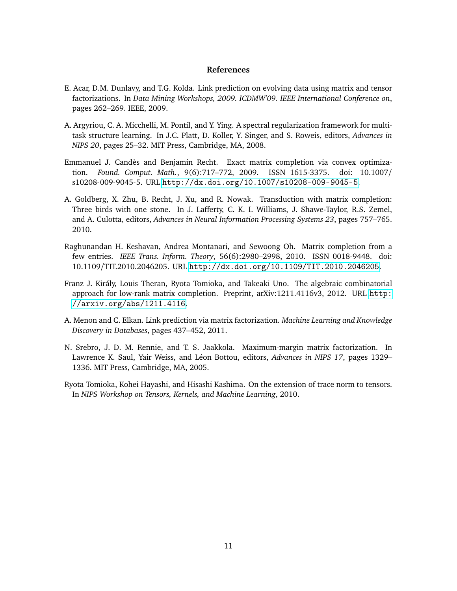#### **References**

- <span id="page-12-3"></span>E. Acar, D.M. Dunlavy, and T.G. Kolda. Link prediction on evolving data using matrix and tensor factorizations. In *Data Mining Workshops, 2009. ICDMW'09. IEEE International Conference on*, pages 262–269. IEEE, 2009.
- <span id="page-12-0"></span>A. Argyriou, C. A. Micchelli, M. Pontil, and Y. Ying. A spectral regularization framework for multitask structure learning. In J.C. Platt, D. Koller, Y. Singer, and S. Roweis, editors, *Advances in NIPS 20*, pages 25–32. MIT Press, Cambridge, MA, 2008.
- <span id="page-12-5"></span>Emmanuel J. Candès and Benjamin Recht. Exact matrix completion via convex optimization. *Found. Comput. Math.*, 9(6):717–772, 2009. ISSN 1615-3375. doi: 10.1007/ s10208-009-9045-5. URL <http://dx.doi.org/10.1007/s10208-009-9045-5>.
- <span id="page-12-1"></span>A. Goldberg, X. Zhu, B. Recht, J. Xu, and R. Nowak. Transduction with matrix completion: Three birds with one stone. In J. Lafferty, C. K. I. Williams, J. Shawe-Taylor, R.S. Zemel, and A. Culotta, editors, *Advances in Neural Information Processing Systems 23*, pages 757–765. 2010.
- <span id="page-12-7"></span>Raghunandan H. Keshavan, Andrea Montanari, and Sewoong Oh. Matrix completion from a few entries. *IEEE Trans. Inform. Theory*, 56(6):2980–2998, 2010. ISSN 0018-9448. doi: 10.1109/TIT.2010.2046205. URL <http://dx.doi.org/10.1109/TIT.2010.2046205>.
- <span id="page-12-8"></span>Franz J. Király, Louis Theran, Ryota Tomioka, and Takeaki Uno. The algebraic combinatorial approach for low-rank matrix completion. Preprint, arXiv:1211.4116v3, 2012. URL [http:](http://arxiv.org/abs/1211.4116) [//arxiv.org/abs/1211.4116](http://arxiv.org/abs/1211.4116).
- <span id="page-12-4"></span>A. Menon and C. Elkan. Link prediction via matrix factorization. *Machine Learning and Knowledge Discovery in Databases*, pages 437–452, 2011.
- <span id="page-12-2"></span>N. Srebro, J. D. M. Rennie, and T. S. Jaakkola. Maximum-margin matrix factorization. In Lawrence K. Saul, Yair Weiss, and Léon Bottou, editors, *Advances in NIPS 17*, pages 1329– 1336. MIT Press, Cambridge, MA, 2005.
- <span id="page-12-6"></span>Ryota Tomioka, Kohei Hayashi, and Hisashi Kashima. On the extension of trace norm to tensors. In *NIPS Workshop on Tensors, Kernels, and Machine Learning*, 2010.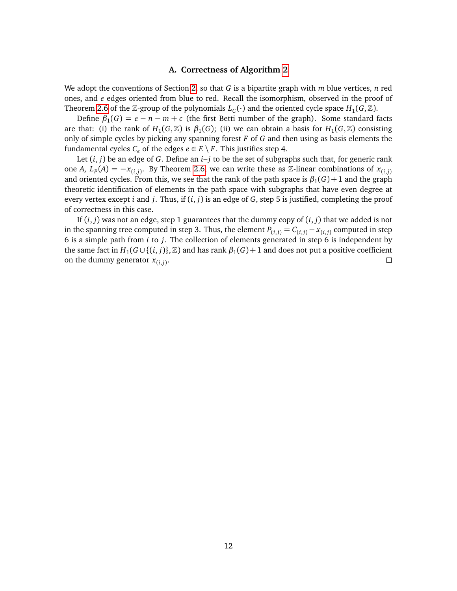#### **A. Correctness of Algorithm [2](#page-10-1)**

We adopt the conventions of Section [2,](#page-4-3) so that *G* is a bipartite graph with *m* blue vertices, *n* red ones, and *e* edges oriented from blue to red. Recall the isomorphism, observed in the proof of Theorem [2.6](#page-5-0) of the  $\mathbb{Z}$ -group of the polynomials  $L_C(\cdot)$  and the oriented cycle space  $H_1(G, \mathbb{Z})$ .

Define  $\beta_1(G) = e - n - m + c$  (the first Betti number of the graph). Some standard facts are that: (i) the rank of  $H_1(G,\mathbb{Z})$  is  $\beta_1(G)$ ; (ii) we can obtain a basis for  $H_1(G,\mathbb{Z})$  consisting only of simple cycles by picking any spanning forest *F* of *G* and then using as basis elements the fundamental cycles  $C_e$  of the edges  $e \in E \setminus F$ . This justifies step 4.

Let (*i*, *j*) be an edge of *G*. Define an *i*–*j* to be the set of subgraphs such that, for generic rank one *A*,  $L_p(A) = -x_{(i,j)}$ . By Theorem [2.6,](#page-5-0) we can write these as  $\mathbb{Z}$ -linear combinations of  $x_{(i,j)}$ and oriented cycles. From this, we see that the rank of the path space is  $\beta_1(G)+1$  and the graph theoretic identification of elements in the path space with subgraphs that have even degree at every vertex except *i* and *j*. Thus, if (*i*, *j*) is an edge of *G*, step 5 is justified, completing the proof of correctness in this case.

If  $(i, j)$  was not an edge, step 1 guarantees that the dummy copy of  $(i, j)$  that we added is not in the spanning tree computed in step 3. Thus, the element  $P_{(i,j)} = C_{(i,j)} - x_{(i,j)}$  computed in step 6 is a simple path from *i* to *j*. The collection of elements generated in step 6 is independent by the same fact in  $H_1(G\cup\{(i,j)\},\mathbb{Z})$  and has rank  $\beta_1(G)+1$  and does not put a positive coefficient on the dummy generator  $x_{(i,j)}$ . . В последните поставите на селото на селото на селото на селото на селото на селото на селото на селото на се<br>Селото на селото на селото на селото на селото на селото на селото на селото на селото на селото на селото на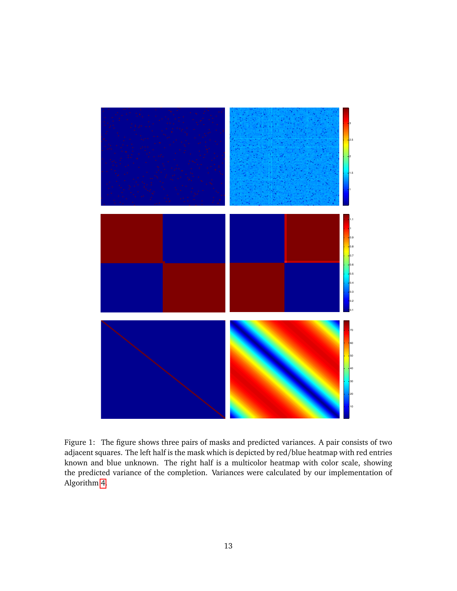

<span id="page-14-0"></span>Figure 1: The figure shows three pairs of masks and predicted variances. A pair consists of two adjacent squares. The left half is the mask which is depicted by red/blue heatmap with red entries known and blue unknown. The right half is a multicolor heatmap with color scale, showing the predicted variance of the completion. Variances were calculated by our implementation of Algorithm [4.](#page-11-0)